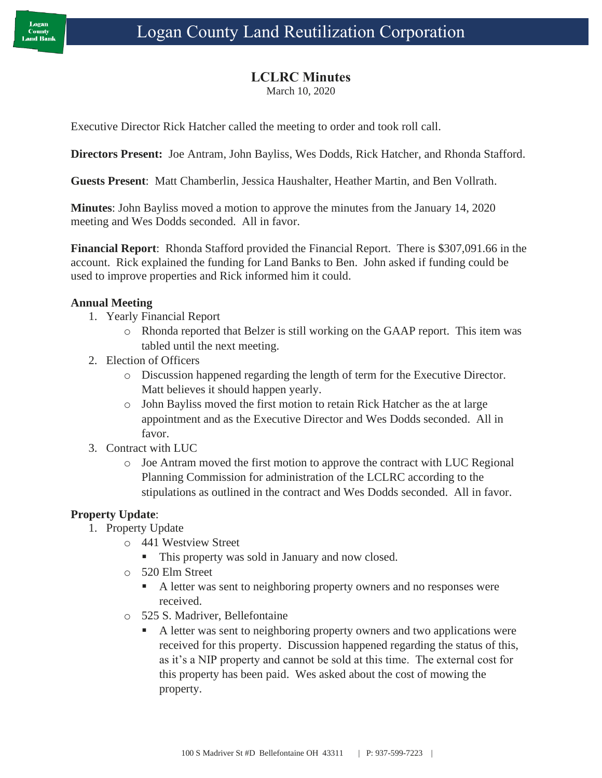### **LCLRC Minutes**

March 10, 2020

Executive Director Rick Hatcher called the meeting to order and took roll call.

**Directors Present:** Joe Antram, John Bayliss, Wes Dodds, Rick Hatcher, and Rhonda Stafford.

**Guests Present**: Matt Chamberlin, Jessica Haushalter, Heather Martin, and Ben Vollrath.

**Minutes**: John Bayliss moved a motion to approve the minutes from the January 14, 2020 meeting and Wes Dodds seconded. All in favor.

**Financial Report**: Rhonda Stafford provided the Financial Report. There is \$307,091.66 in the account. Rick explained the funding for Land Banks to Ben. John asked if funding could be used to improve properties and Rick informed him it could.

### **Annual Meeting**

- 1. Yearly Financial Report
	- o Rhonda reported that Belzer is still working on the GAAP report. This item was tabled until the next meeting.
- 2. Election of Officers
	- o Discussion happened regarding the length of term for the Executive Director. Matt believes it should happen yearly.
	- o John Bayliss moved the first motion to retain Rick Hatcher as the at large appointment and as the Executive Director and Wes Dodds seconded. All in favor.
- 3. Contract with LUC
	- o Joe Antram moved the first motion to approve the contract with LUC Regional Planning Commission for administration of the LCLRC according to the stipulations as outlined in the contract and Wes Dodds seconded. All in favor.

### **Property Update**:

- 1. Property Update
	- o 441 Westview Street
		- This property was sold in January and now closed.
	- o 520 Elm Street
		- A letter was sent to neighboring property owners and no responses were received.
	- o 525 S. Madriver, Bellefontaine
		- A letter was sent to neighboring property owners and two applications were received for this property. Discussion happened regarding the status of this, as it's a NIP property and cannot be sold at this time. The external cost for this property has been paid. Wes asked about the cost of mowing the property.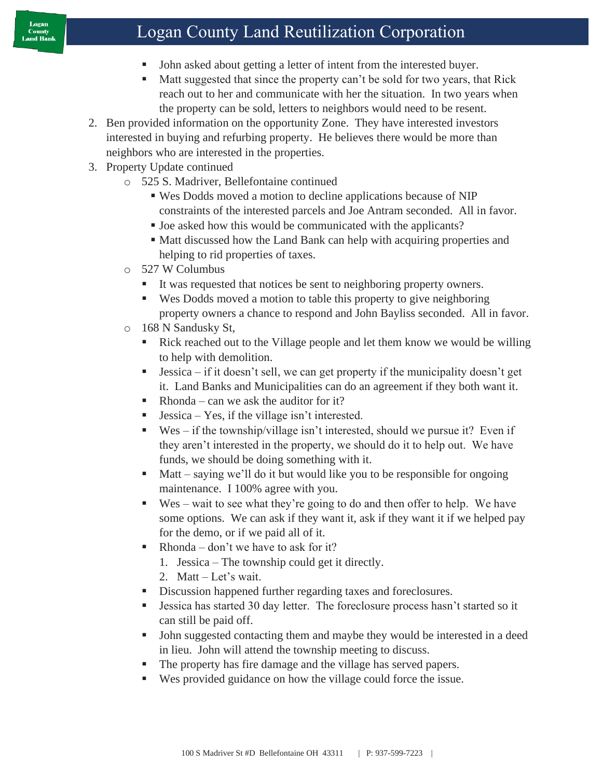## Logan County Land Reutilization Corporation

- John asked about getting a letter of intent from the interested buyer.
- Matt suggested that since the property can't be sold for two years, that Rick reach out to her and communicate with her the situation. In two years when the property can be sold, letters to neighbors would need to be resent.
- 2. Ben provided information on the opportunity Zone. They have interested investors interested in buying and refurbing property. He believes there would be more than neighbors who are interested in the properties.
- 3. Property Update continued
	- o 525 S. Madriver, Bellefontaine continued
		- Wes Dodds moved a motion to decline applications because of NIP constraints of the interested parcels and Joe Antram seconded. All in favor.
		- Joe asked how this would be communicated with the applicants?
		- Matt discussed how the Land Bank can help with acquiring properties and helping to rid properties of taxes.
	- o 527 W Columbus
		- It was requested that notices be sent to neighboring property owners.
		- Wes Dodds moved a motion to table this property to give neighboring property owners a chance to respond and John Bayliss seconded. All in favor.
	- o 168 N Sandusky St,
		- Rick reached out to the Village people and let them know we would be willing to help with demolition.
		- **Example 1** Jessica if it doesn't sell, we can get property if the municipality doesn't get it. Land Banks and Municipalities can do an agreement if they both want it.
		- $\blacksquare$  Rhonda can we ask the auditor for it?
		- $Jessica Yes$ , if the village isn't interested.
		- $\bullet$  Wes if the township/village isn't interested, should we pursue it? Even if they aren't interested in the property, we should do it to help out. We have funds, we should be doing something with it.
		- $\blacksquare$  Matt saying we'll do it but would like you to be responsible for ongoing maintenance. I 100% agree with you.
		- $\bullet$  Wes wait to see what they're going to do and then offer to help. We have some options. We can ask if they want it, ask if they want it if we helped pay for the demo, or if we paid all of it.
		- $\blacksquare$  Rhonda don't we have to ask for it?
			- 1. Jessica The township could get it directly.
			- 2. Matt Let's wait.
		- **EXECUTE:** Discussion happened further regarding taxes and foreclosures.
		- Jessica has started 30 day letter. The foreclosure process hasn't started so it can still be paid off.
		- John suggested contacting them and maybe they would be interested in a deed in lieu. John will attend the township meeting to discuss.
		- The property has fire damage and the village has served papers.
		- Wes provided guidance on how the village could force the issue.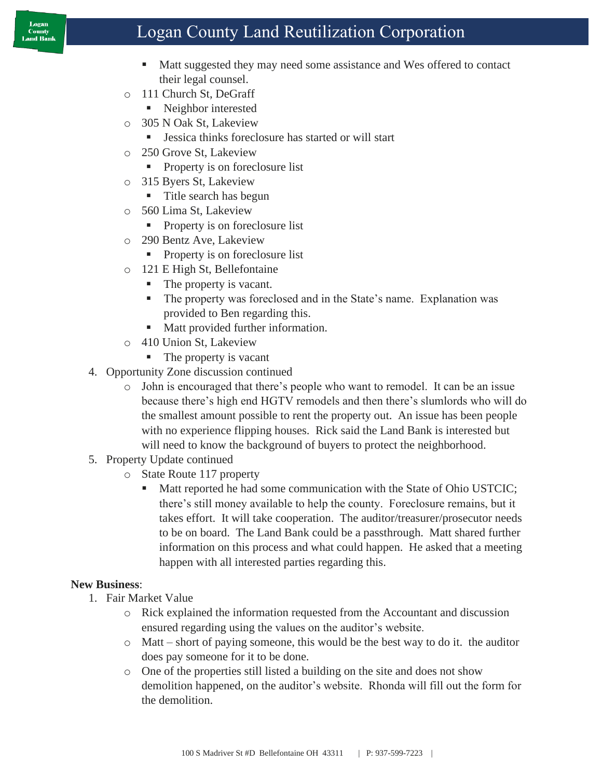#### Logan County Land Bank

## Logan County Land Reutilization Corporation

- Matt suggested they may need some assistance and Wes offered to contact their legal counsel.
- o 111 Church St, DeGraff
	- Neighbor interested
- o 305 N Oak St, Lakeview
	- Jessica thinks foreclosure has started or will start
- o 250 Grove St, Lakeview
	- Property is on foreclosure list
- o 315 Byers St, Lakeview
	- Title search has begun
- o 560 Lima St, Lakeview
	- Property is on foreclosure list
- o 290 Bentz Ave, Lakeview
	- Property is on foreclosure list
- o 121 E High St, Bellefontaine
	- The property is vacant.
	- The property was foreclosed and in the State's name. Explanation was provided to Ben regarding this.
	- Matt provided further information.
- o 410 Union St, Lakeview
	- The property is vacant
- 4. Opportunity Zone discussion continued
	- o John is encouraged that there's people who want to remodel. It can be an issue because there's high end HGTV remodels and then there's slumlords who will do the smallest amount possible to rent the property out. An issue has been people with no experience flipping houses. Rick said the Land Bank is interested but will need to know the background of buyers to protect the neighborhood.
- 5. Property Update continued
	- o State Route 117 property
		- Matt reported he had some communication with the State of Ohio USTCIC; there's still money available to help the county. Foreclosure remains, but it takes effort. It will take cooperation. The auditor/treasurer/prosecutor needs to be on board. The Land Bank could be a passthrough. Matt shared further information on this process and what could happen. He asked that a meeting happen with all interested parties regarding this.

### **New Business**:

- 1. Fair Market Value
	- o Rick explained the information requested from the Accountant and discussion ensured regarding using the values on the auditor's website.
	- o Matt short of paying someone, this would be the best way to do it. the auditor does pay someone for it to be done.
	- o One of the properties still listed a building on the site and does not show demolition happened, on the auditor's website. Rhonda will fill out the form for the demolition.